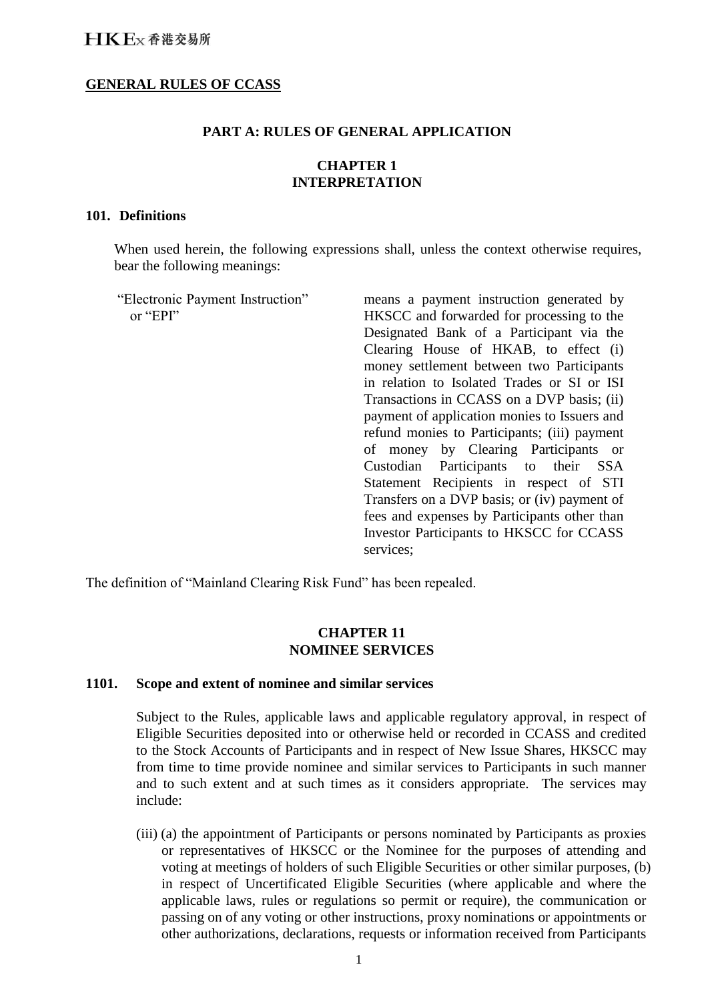### **GENERAL RULES OF CCASS**

#### **PART A: RULES OF GENERAL APPLICATION**

### **CHAPTER 1 INTERPRETATION**

#### **101. Definitions**

When used herein, the following expressions shall, unless the context otherwise requires, bear the following meanings:

"Electronic Payment Instruction" or "EPI"

means a payment instruction generated by HKSCC and forwarded for processing to the Designated Bank of a Participant via the Clearing House of HKAB, to effect (i) money settlement between two Participants in relation to Isolated Trades or SI or ISI Transactions in CCASS on a DVP basis; (ii) payment of application monies to Issuers and refund monies to Participants; (iii) payment of money by Clearing Participants or Custodian Participants to their SSA Statement Recipients in respect of STI Transfers on a DVP basis; or (iv) payment of fees and expenses by Participants other than Investor Participants to HKSCC for CCASS services;

The definition of "Mainland Clearing Risk Fund" has been repealed.

#### **CHAPTER 11 NOMINEE SERVICES**

#### **1101. Scope and extent of nominee and similar services**

Subject to the Rules, applicable laws and applicable regulatory approval, in respect of Eligible Securities deposited into or otherwise held or recorded in CCASS and credited to the Stock Accounts of Participants and in respect of New Issue Shares, HKSCC may from time to time provide nominee and similar services to Participants in such manner and to such extent and at such times as it considers appropriate. The services may include:

(iii) (a) the appointment of Participants or persons nominated by Participants as proxies or representatives of HKSCC or the Nominee for the purposes of attending and voting at meetings of holders of such Eligible Securities or other similar purposes, (b) in respect of Uncertificated Eligible Securities (where applicable and where the applicable laws, rules or regulations so permit or require), the communication or passing on of any voting or other instructions, proxy nominations or appointments or other authorizations, declarations, requests or information received from Participants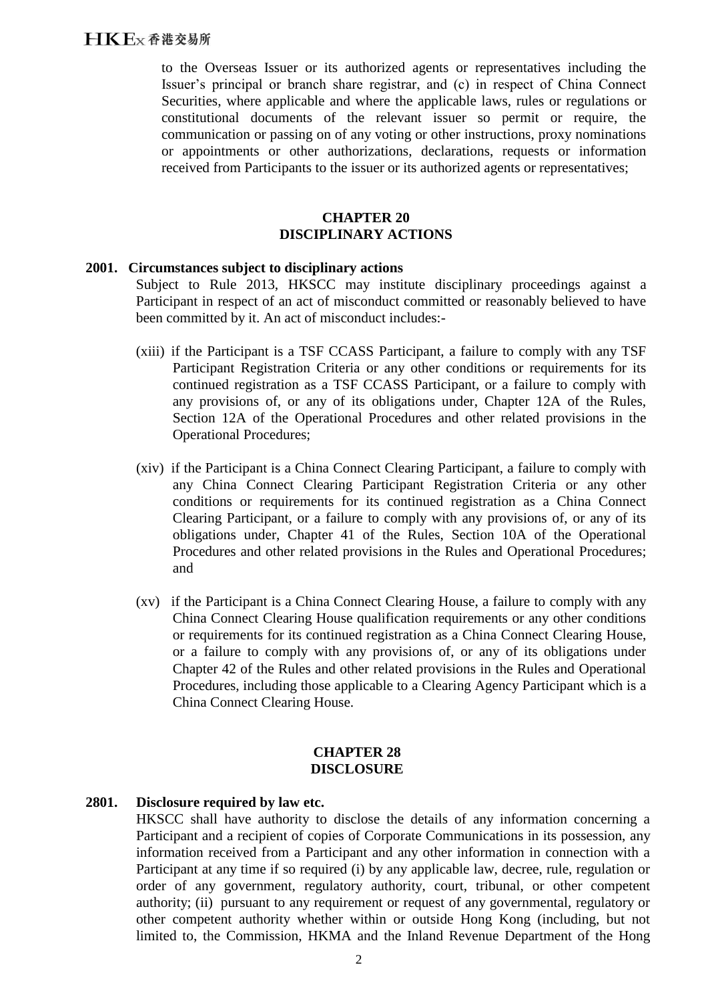to the Overseas Issuer or its authorized agents or representatives including the Issuer's principal or branch share registrar, and (c) in respect of China Connect Securities, where applicable and where the applicable laws, rules or regulations or constitutional documents of the relevant issuer so permit or require, the communication or passing on of any voting or other instructions, proxy nominations or appointments or other authorizations, declarations, requests or information received from Participants to the issuer or its authorized agents or representatives;

### **CHAPTER 20 DISCIPLINARY ACTIONS**

#### **2001. Circumstances subject to disciplinary actions**

Subject to Rule 2013, HKSCC may institute disciplinary proceedings against a Participant in respect of an act of misconduct committed or reasonably believed to have been committed by it. An act of misconduct includes:-

- (xiii) if the Participant is a TSF CCASS Participant, a failure to comply with any TSF Participant Registration Criteria or any other conditions or requirements for its continued registration as a TSF CCASS Participant, or a failure to comply with any provisions of, or any of its obligations under, Chapter 12A of the Rules, Section 12A of the Operational Procedures and other related provisions in the Operational Procedures;
- (xiv) if the Participant is a China Connect Clearing Participant, a failure to comply with any China Connect Clearing Participant Registration Criteria or any other conditions or requirements for its continued registration as a China Connect Clearing Participant, or a failure to comply with any provisions of, or any of its obligations under, Chapter 41 of the Rules, Section 10A of the Operational Procedures and other related provisions in the Rules and Operational Procedures; and
- (xv) if the Participant is a China Connect Clearing House, a failure to comply with any China Connect Clearing House qualification requirements or any other conditions or requirements for its continued registration as a China Connect Clearing House, or a failure to comply with any provisions of, or any of its obligations under Chapter 42 of the Rules and other related provisions in the Rules and Operational Procedures, including those applicable to a Clearing Agency Participant which is a China Connect Clearing House.

#### **CHAPTER 28 DISCLOSURE**

### **2801. Disclosure required by law etc.**

HKSCC shall have authority to disclose the details of any information concerning a Participant and a recipient of copies of Corporate Communications in its possession, any information received from a Participant and any other information in connection with a Participant at any time if so required (i) by any applicable law, decree, rule, regulation or order of any government, regulatory authority, court, tribunal, or other competent authority; (ii) pursuant to any requirement or request of any governmental, regulatory or other competent authority whether within or outside Hong Kong (including, but not limited to, the Commission, HKMA and the Inland Revenue Department of the Hong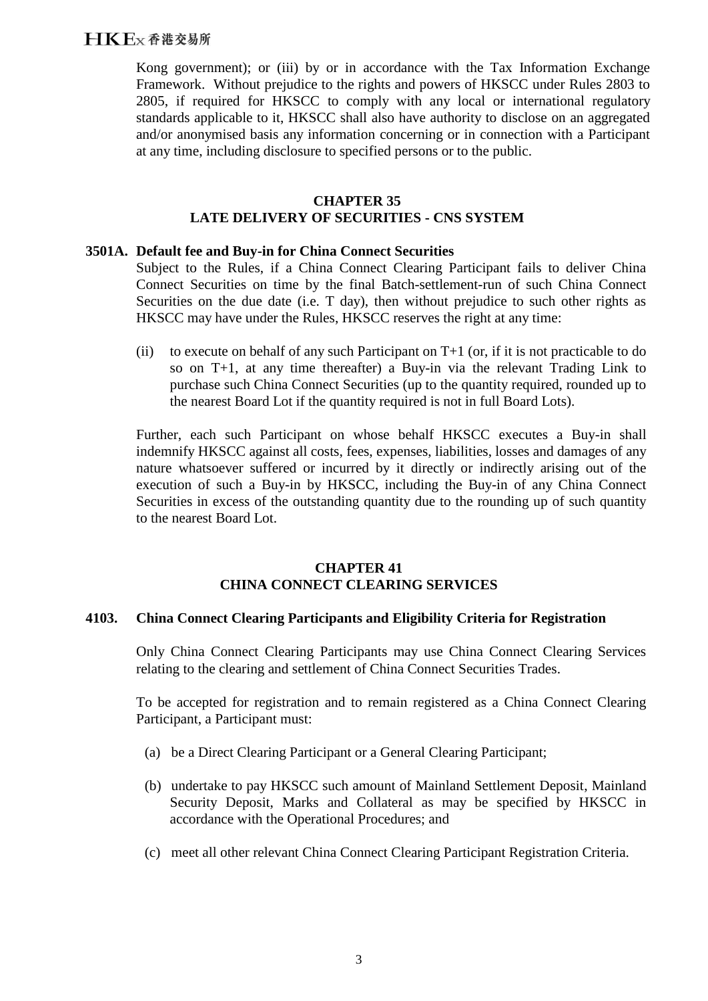# HKEx香港交易所

Kong government); or (iii) by or in accordance with the Tax Information Exchange Framework. Without prejudice to the rights and powers of HKSCC under Rules 2803 to 2805, if required for HKSCC to comply with any local or international regulatory standards applicable to it, HKSCC shall also have authority to disclose on an aggregated and/or anonymised basis any information concerning or in connection with a Participant at any time, including disclosure to specified persons or to the public.

### **CHAPTER 35 LATE DELIVERY OF SECURITIES - CNS SYSTEM**

#### **3501A. Default fee and Buy-in for China Connect Securities**

Subject to the Rules, if a China Connect Clearing Participant fails to deliver China Connect Securities on time by the final Batch-settlement-run of such China Connect Securities on the due date (i.e. T day), then without prejudice to such other rights as HKSCC may have under the Rules, HKSCC reserves the right at any time:

(ii) to execute on behalf of any such Participant on  $T+1$  (or, if it is not practicable to do so on T+1, at any time thereafter) a Buy-in via the relevant Trading Link to purchase such China Connect Securities (up to the quantity required, rounded up to the nearest Board Lot if the quantity required is not in full Board Lots).

Further, each such Participant on whose behalf HKSCC executes a Buy-in shall indemnify HKSCC against all costs, fees, expenses, liabilities, losses and damages of any nature whatsoever suffered or incurred by it directly or indirectly arising out of the execution of such a Buy-in by HKSCC, including the Buy-in of any China Connect Securities in excess of the outstanding quantity due to the rounding up of such quantity to the nearest Board Lot.

### **CHAPTER 41 CHINA CONNECT CLEARING SERVICES**

#### **4103. China Connect Clearing Participants and Eligibility Criteria for Registration**

Only China Connect Clearing Participants may use China Connect Clearing Services relating to the clearing and settlement of China Connect Securities Trades.

To be accepted for registration and to remain registered as a China Connect Clearing Participant, a Participant must:

- (a) be a Direct Clearing Participant or a General Clearing Participant;
- (b) undertake to pay HKSCC such amount of Mainland Settlement Deposit, Mainland Security Deposit, Marks and Collateral as may be specified by HKSCC in accordance with the Operational Procedures; and
- (c) meet all other relevant China Connect Clearing Participant Registration Criteria.